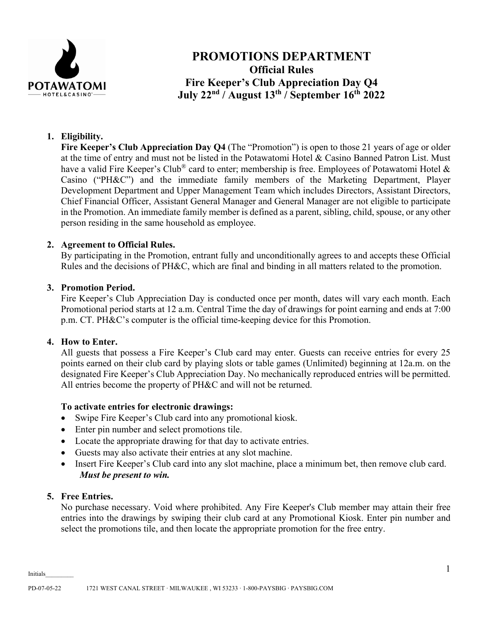

# **PROMOTIONS DEPARTMENT Official Rules Fire Keeper's Club Appreciation Day Q4 July 22nd / August 13th / September 16th 2022**

# **1. Eligibility.**

**Fire Keeper's Club Appreciation Day Q4** (The "Promotion") is open to those 21 years of age or older at the time of entry and must not be listed in the Potawatomi Hotel & Casino Banned Patron List. Must have a valid Fire Keeper's Club<sup>®</sup> card to enter; membership is free. Employees of Potawatomi Hotel & Casino ("PH&C") and the immediate family members of the Marketing Department, Player Development Department and Upper Management Team which includes Directors, Assistant Directors, Chief Financial Officer, Assistant General Manager and General Manager are not eligible to participate in the Promotion. An immediate family member is defined as a parent, sibling, child, spouse, or any other person residing in the same household as employee.

# **2. Agreement to Official Rules.**

By participating in the Promotion, entrant fully and unconditionally agrees to and accepts these Official Rules and the decisions of PH&C, which are final and binding in all matters related to the promotion.

# **3. Promotion Period.**

Fire Keeper's Club Appreciation Day is conducted once per month, dates will vary each month. Each Promotional period starts at 12 a.m. Central Time the day of drawings for point earning and ends at 7:00 p.m. CT. PH&C's computer is the official time-keeping device for this Promotion.

## **4. How to Enter.**

All guests that possess a Fire Keeper's Club card may enter. Guests can receive entries for every 25 points earned on their club card by playing slots or table games (Unlimited) beginning at 12a.m. on the designated Fire Keeper's Club Appreciation Day. No mechanically reproduced entries will be permitted. All entries become the property of PH&C and will not be returned.

## **To activate entries for electronic drawings:**

- Swipe Fire Keeper's Club card into any promotional kiosk.
- Enter pin number and select promotions tile.
- Locate the appropriate drawing for that day to activate entries.
- Guests may also activate their entries at any slot machine.
- Insert Fire Keeper's Club card into any slot machine, place a minimum bet, then remove club card. *Must be present to win.*

## **5. Free Entries.**

No purchase necessary. Void where prohibited. Any Fire Keeper's Club member may attain their free entries into the drawings by swiping their club card at any Promotional Kiosk. Enter pin number and select the promotions tile, and then locate the appropriate promotion for the free entry.

Initials\_\_\_\_\_\_\_\_\_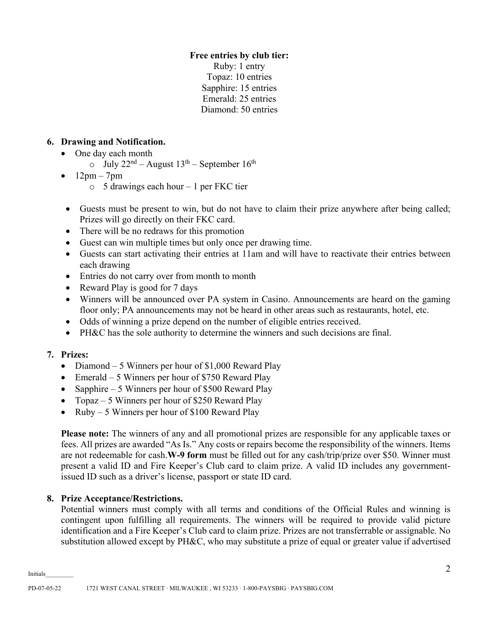# **Free entries by club tier:**

Ruby: 1 entry Topaz: 10 entries Sapphire: 15 entries Emerald: 25 entries Diamond: 50 entries

# **6. Drawing and Notification.**

- One day each month
	- $\circ$  July 22<sup>nd</sup> August 13<sup>th</sup> September 16<sup>th</sup>
- 12pm 7pm
	- $\circ$  5 drawings each hour 1 per FKC tier
- Guests must be present to win, but do not have to claim their prize anywhere after being called; Prizes will go directly on their FKC card.
- There will be no redraws for this promotion
- Guest can win multiple times but only once per drawing time.
- Guests can start activating their entries at 11am and will have to reactivate their entries between each drawing
- Entries do not carry over from month to month
- Reward Play is good for 7 days
- Winners will be announced over PA system in Casino. Announcements are heard on the gaming floor only; PA announcements may not be heard in other areas such as restaurants, hotel, etc.
- Odds of winning a prize depend on the number of eligible entries received.
- PH&C has the sole authority to determine the winners and such decisions are final.

# **7. Prizes:**

- Diamond 5 Winners per hour of \$1,000 Reward Play
- Emerald 5 Winners per hour of \$750 Reward Play
- Sapphire 5 Winners per hour of \$500 Reward Play
- Topaz 5 Winners per hour of \$250 Reward Play
- $Ruby 5$  Winners per hour of \$100 Reward Play

**Please note:** The winners of any and all promotional prizes are responsible for any applicable taxes or fees. All prizes are awarded "As Is." Any costs or repairs become the responsibility of the winners. Items are not redeemable for cash.**W-9 form** must be filled out for any cash/trip/prize over \$50. Winner must present a valid ID and Fire Keeper's Club card to claim prize. A valid ID includes any governmentissued ID such as a driver's license, passport or state ID card.

## **8. Prize Acceptance/Restrictions.**

Potential winners must comply with all terms and conditions of the Official Rules and winning is contingent upon fulfilling all requirements. The winners will be required to provide valid picture identification and a Fire Keeper's Club card to claim prize. Prizes are not transferrable or assignable. No substitution allowed except by PH&C, who may substitute a prize of equal or greater value if advertised

Initials\_\_\_\_\_\_\_\_\_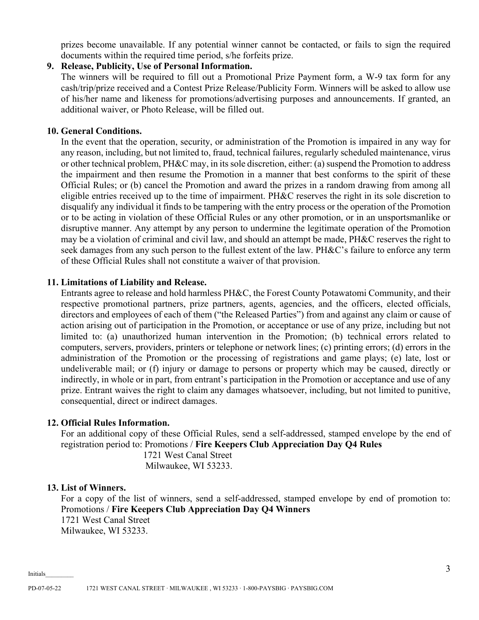prizes become unavailable. If any potential winner cannot be contacted, or fails to sign the required documents within the required time period, s/he forfeits prize.

# **9. Release, Publicity, Use of Personal Information.**

The winners will be required to fill out a Promotional Prize Payment form, a W-9 tax form for any cash/trip/prize received and a Contest Prize Release/Publicity Form. Winners will be asked to allow use of his/her name and likeness for promotions/advertising purposes and announcements. If granted, an additional waiver, or Photo Release, will be filled out.

# **10. General Conditions.**

In the event that the operation, security, or administration of the Promotion is impaired in any way for any reason, including, but not limited to, fraud, technical failures, regularly scheduled maintenance, virus or other technical problem, PH&C may, in its sole discretion, either: (a) suspend the Promotion to address the impairment and then resume the Promotion in a manner that best conforms to the spirit of these Official Rules; or (b) cancel the Promotion and award the prizes in a random drawing from among all eligible entries received up to the time of impairment. PH&C reserves the right in its sole discretion to disqualify any individual it finds to be tampering with the entry process or the operation of the Promotion or to be acting in violation of these Official Rules or any other promotion, or in an unsportsmanlike or disruptive manner. Any attempt by any person to undermine the legitimate operation of the Promotion may be a violation of criminal and civil law, and should an attempt be made, PH&C reserves the right to seek damages from any such person to the fullest extent of the law. PH&C's failure to enforce any term of these Official Rules shall not constitute a waiver of that provision.

## **11. Limitations of Liability and Release.**

Entrants agree to release and hold harmless PH&C, the Forest County Potawatomi Community, and their respective promotional partners, prize partners, agents, agencies, and the officers, elected officials, directors and employees of each of them ("the Released Parties") from and against any claim or cause of action arising out of participation in the Promotion, or acceptance or use of any prize, including but not limited to: (a) unauthorized human intervention in the Promotion; (b) technical errors related to computers, servers, providers, printers or telephone or network lines; (c) printing errors; (d) errors in the administration of the Promotion or the processing of registrations and game plays; (e) late, lost or undeliverable mail; or (f) injury or damage to persons or property which may be caused, directly or indirectly, in whole or in part, from entrant's participation in the Promotion or acceptance and use of any prize. Entrant waives the right to claim any damages whatsoever, including, but not limited to punitive, consequential, direct or indirect damages.

## **12. Official Rules Information.**

For an additional copy of these Official Rules, send a self-addressed, stamped envelope by the end of registration period to: Promotions / **Fire Keepers Club Appreciation Day Q4 Rules**

> 1721 West Canal Street Milwaukee, WI 53233.

## **13. List of Winners.**

For a copy of the list of winners, send a self-addressed, stamped envelope by end of promotion to: Promotions / **Fire Keepers Club Appreciation Day Q4 Winners** 1721 West Canal Street Milwaukee, WI 53233.